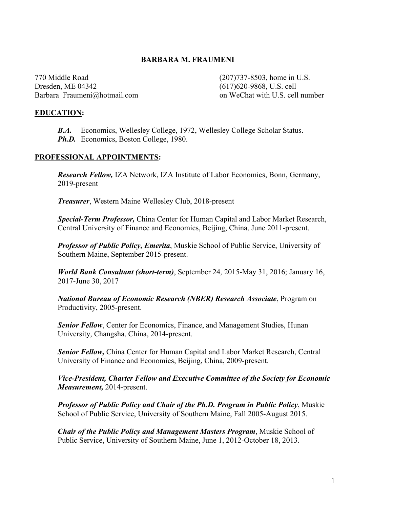### **BARBARA M. FRAUMENI**

770 Middle Road (207)737-8503, home in U.S. Dresden, ME 04342 (617)620-9868, U.S. cell

Barbara Fraumeni@hotmail.com on WeChat with U.S. cell number

#### **EDUCATION:**

 *B.A.* Economics, Wellesley College, 1972, Wellesley College Scholar Status. *Ph.D.* Economics, Boston College, 1980.

#### **PROFESSIONAL APPOINTMENTS:**

*Research Fellow,* IZA Network, IZA Institute of Labor Economics, Bonn, Germany, 2019-present

*Treasurer*, Western Maine Wellesley Club, 2018-present

*Special-Term Professor,* China Center for Human Capital and Labor Market Research, Central University of Finance and Economics, Beijing, China, June 2011-present.

*Professor of Public Policy, Emerita*, Muskie School of Public Service, University of Southern Maine, September 2015-present.

*World Bank Consultant (short-term)*, September 24, 2015-May 31, 2016; January 16, 2017-June 30, 2017

*National Bureau of Economic Research (NBER) Research Associate*, Program on Productivity, 2005-present.

*Senior Fellow*, Center for Economics, Finance, and Management Studies, Hunan University, Changsha, China, 2014-present.

*Senior Fellow,* China Center for Human Capital and Labor Market Research, Central University of Finance and Economics, Beijing, China, 2009-present.

*Vice-President, Charter Fellow and Executive Committee of the Society for Economic Measurement,* 2014-present.

*Professor of Public Policy and Chair of the Ph.D. Program in Public Policy*, Muskie School of Public Service, University of Southern Maine, Fall 2005-August 2015.

*Chair of the Public Policy and Management Masters Program*, Muskie School of Public Service, University of Southern Maine, June 1, 2012-October 18, 2013.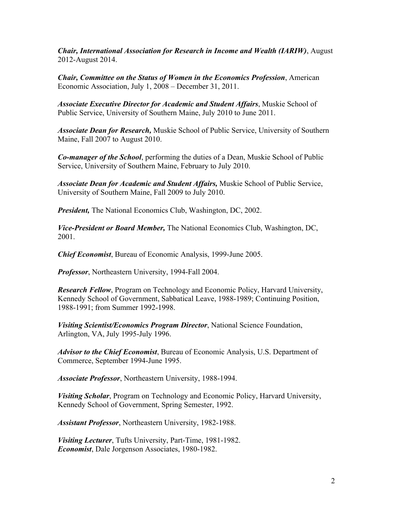*Chair, International Association for Research in Income and Wealth (IARIW)*, August 2012-August 2014.

*Chair, Committee on the Status of Women in the Economics Profession*, American Economic Association, July 1, 2008 – December 31, 2011.

*Associate Executive Director for Academic and Student Affairs*, Muskie School of Public Service, University of Southern Maine, July 2010 to June 2011.

*Associate Dean for Research,* Muskie School of Public Service, University of Southern Maine, Fall 2007 to August 2010.

*Co-manager of the School*, performing the duties of a Dean, Muskie School of Public Service, University of Southern Maine, February to July 2010.

*Associate Dean for Academic and Student Affairs,* Muskie School of Public Service, University of Southern Maine, Fall 2009 to July 2010.

*President,* The National Economics Club, Washington, DC, 2002.

*Vice-President or Board Member,* The National Economics Club, Washington, DC, 2001.

*Chief Economist*, Bureau of Economic Analysis, 1999-June 2005.

*Professor*, Northeastern University, 1994-Fall 2004.

*Research Fellow*, Program on Technology and Economic Policy, Harvard University, Kennedy School of Government, Sabbatical Leave, 1988-1989; Continuing Position, 1988-1991; from Summer 1992-1998.

*Visiting Scientist/Economics Program Director*, National Science Foundation, Arlington, VA, July 1995-July 1996.

*Advisor to the Chief Economist*, Bureau of Economic Analysis, U.S. Department of Commerce, September 1994-June 1995.

*Associate Professor*, Northeastern University, 1988-1994.

*Visiting Scholar*, Program on Technology and Economic Policy, Harvard University, Kennedy School of Government, Spring Semester, 1992.

*Assistant Professor*, Northeastern University, 1982-1988.

*Visiting Lecturer*, Tufts University, Part-Time, 1981-1982. *Economist*, Dale Jorgenson Associates, 1980-1982.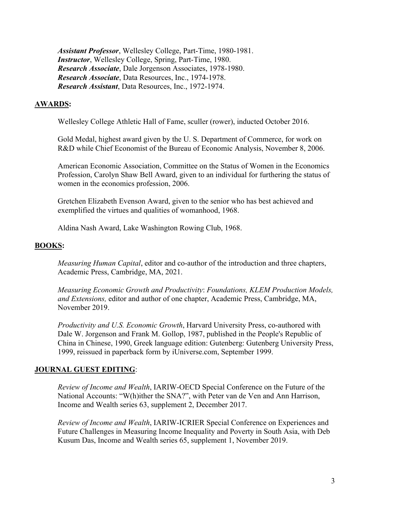*Assistant Professor*, Wellesley College, Part-Time, 1980-1981. *Instructor*, Wellesley College, Spring, Part-Time, 1980. *Research Associate*, Dale Jorgenson Associates, 1978-1980. *Research Associate*, Data Resources, Inc., 1974-1978. *Research Assistant*, Data Resources, Inc., 1972-1974.

### **AWARDS:**

Wellesley College Athletic Hall of Fame, sculler (rower), inducted October 2016.

Gold Medal, highest award given by the U. S. Department of Commerce, for work on R&D while Chief Economist of the Bureau of Economic Analysis, November 8, 2006.

American Economic Association, Committee on the Status of Women in the Economics Profession, Carolyn Shaw Bell Award, given to an individual for furthering the status of women in the economics profession, 2006.

Gretchen Elizabeth Evenson Award, given to the senior who has best achieved and exemplified the virtues and qualities of womanhood, 1968.

Aldina Nash Award, Lake Washington Rowing Club, 1968.

### **BOOKS:**

*Measuring Human Capital*, editor and co-author of the introduction and three chapters, Academic Press, Cambridge, MA, 2021.

*Measuring Economic Growth and Productivity*: *Foundations, KLEM Production Models, and Extensions,* editor and author of one chapter, Academic Press, Cambridge, MA, November 2019.

*Productivity and U.S. Economic Growth*, Harvard University Press, co-authored with Dale W. Jorgenson and Frank M. Gollop, 1987, published in the People's Republic of China in Chinese, 1990, Greek language edition: Gutenberg: Gutenberg University Press, 1999, reissued in paperback form by iUniverse.com, September 1999.

### **JOURNAL GUEST EDITING**:

*Review of Income and Wealth*, IARIW-OECD Special Conference on the Future of the National Accounts: "W(h)ither the SNA?", with Peter van de Ven and Ann Harrison, Income and Wealth series 63, supplement 2, December 2017.

*Review of Income and Wealth*, IARIW-ICRIER Special Conference on Experiences and Future Challenges in Measuring Income Inequality and Poverty in South Asia, with Deb Kusum Das, Income and Wealth series 65, supplement 1, November 2019.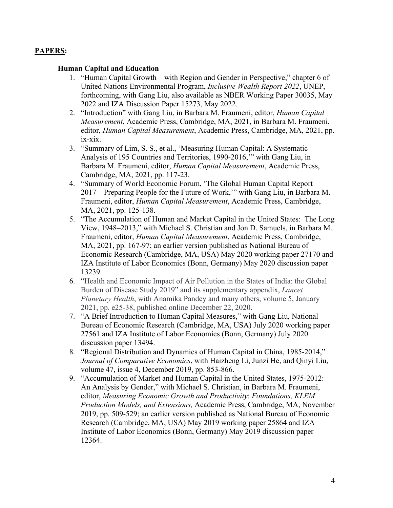# **PAPERS:**

### **Human Capital and Education**

- 1. "Human Capital Growth with Region and Gender in Perspective," chapter 6 of United Nations Environmental Program, *Inclusive Wealth Report 2022*, UNEP, forthcoming, with Gang Liu, also available as NBER Working Paper 30035, May 2022 and IZA Discussion Paper 15273, May 2022.
- 2. "Introduction" with Gang Liu, in Barbara M. Fraumeni, editor, *Human Capital Measurement*, Academic Press, Cambridge, MA, 2021, in Barbara M. Fraumeni, editor, *Human Capital Measurement*, Academic Press, Cambridge, MA, 2021, pp. ix-xix.
- 3. "Summary of Lim, S. S., et al., 'Measuring Human Capital: A Systematic Analysis of 195 Countries and Territories, 1990-2016,'" with Gang Liu, in Barbara M. Fraumeni, editor, *Human Capital Measurement*, Academic Press, Cambridge, MA, 2021, pp. 117-23.
- 4. "Summary of World Economic Forum, 'The Global Human Capital Report 2017—Preparing People for the Future of Work,'" with Gang Liu, in Barbara M. Fraumeni, editor, *Human Capital Measurement*, Academic Press, Cambridge, MA, 2021, pp. 125-138.
- 5. "The Accumulation of Human and Market Capital in the United States: The Long View, 1948–2013," with Michael S. Christian and Jon D. Samuels, in Barbara M. Fraumeni, editor, *Human Capital Measurement*, Academic Press, Cambridge, MA, 2021, pp. 167-97; an earlier version published as National Bureau of Economic Research (Cambridge, MA, USA) May 2020 working paper 27170 and IZA Institute of Labor Economics (Bonn, Germany) May 2020 discussion paper 13239.
- 6. "Health and Economic Impact of Air Pollution in the States of India: the Global Burden of Disease Study 2019" and its supplementary appendix, *Lancet Planetary Health*, with Anamika Pandey and many others, volume 5, January 2021, pp. e25-38, published online December 22, 2020.
- 7. "A Brief Introduction to Human Capital Measures," with Gang Liu, National Bureau of Economic Research (Cambridge, MA, USA) July 2020 working paper 27561 and IZA Institute of Labor Economics (Bonn, Germany) July 2020 discussion paper 13494.
- 8. "Regional Distribution and Dynamics of Human Capital in China, 1985-2014," *Journal of Comparative Economics*, with Haizheng Li, Junzi He, and Qinyi Liu, volume 47, issue 4, December 2019, pp. 853-866.
- 9. "Accumulation of Market and Human Capital in the United States, 1975-2012: An Analysis by Gender," with Michael S. Christian, in Barbara M. Fraumeni, editor, *Measuring Economic Growth and Productivity*: *Foundations, KLEM Production Models, and Extensions,* Academic Press, Cambridge, MA, November 2019, pp. 509-529; an earlier version published as National Bureau of Economic Research (Cambridge, MA, USA) May 2019 working paper 25864 and IZA Institute of Labor Economics (Bonn, Germany) May 2019 discussion paper 12364.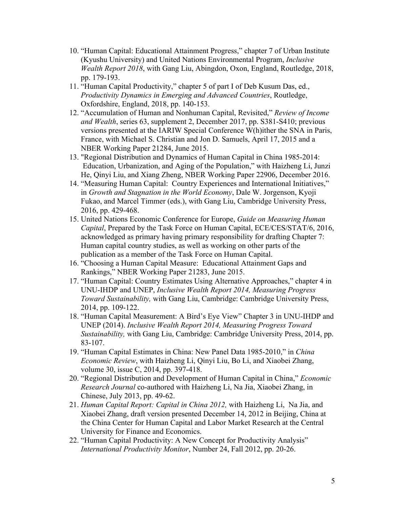- 10. "Human Capital: Educational Attainment Progress," chapter 7 of Urban Institute (Kyushu University) and United Nations Environmental Program, *Inclusive Wealth Report 2018*, with Gang Liu, Abingdon, Oxon, England, Routledge, 2018, pp. 179-193.
- 11. "Human Capital Productivity," chapter 5 of part I of Deb Kusum Das, ed., *Productivity Dynamics in Emerging and Advanced Countries*, Routledge, Oxfordshire, England, 2018, pp. 140-153.
- 12. "Accumulation of Human and Nonhuman Capital, Revisited," *Review of Income and Wealth*, series 63, supplement 2, December 2017, pp. S381-S410; previous versions presented at the IARIW Special Conference W(h)ither the SNA in Paris, France, with Michael S. Christian and Jon D. Samuels, April 17, 2015 and a NBER Working Paper 21284, June 2015.
- 13. "Regional Distribution and Dynamics of Human Capital in China 1985-2014: Education, Urbanization, and Aging of the Population," with Haizheng Li, Junzi He, Qinyi Liu, and Xiang Zheng, NBER Working Paper 22906, December 2016.
- 14. "Measuring Human Capital: Country Experiences and International Initiatives," in *Growth and Stagnation in the World Economy*, Dale W. Jorgenson, Kyoji Fukao, and Marcel Timmer (eds.), with Gang Liu, Cambridge University Press, 2016, pp. 429-468.
- 15. United Nations Economic Conference for Europe, *Guide on Measuring Human Capital*, Prepared by the Task Force on Human Capital, ECE/CES/STAT/6, 2016, acknowledged as primary having primary responsibility for drafting Chapter 7: Human capital country studies, as well as working on other parts of the publication as a member of the Task Force on Human Capital.
- 16. "Choosing a Human Capital Measure: Educational Attainment Gaps and Rankings," NBER Working Paper 21283, June 2015.
- 17. "Human Capital: Country Estimates Using Alternative Approaches," chapter 4 in UNU-IHDP and UNEP, *Inclusive Wealth Report 2014, Measuring Progress Toward Sustainability,* with Gang Liu, Cambridge: Cambridge University Press, 2014, pp. 109-122.
- 18. "Human Capital Measurement: A Bird's Eye View" Chapter 3 in UNU-IHDP and UNEP (2014). *Inclusive Wealth Report 2014, Measuring Progress Toward Sustainability,* with Gang Liu, Cambridge: Cambridge University Press, 2014, pp. 83-107.
- 19. "Human Capital Estimates in China: New Panel Data 1985-2010," in *China Economic Review*, with Haizheng Li, Qinyi Liu, Bo Li, and Xiaobei Zhang, volume 30, issue C, 2014, pp. 397-418.
- 20. "Regional Distribution and Development of Human Capital in China," *Economic Research Journal* co-authored with Haizheng Li, Na Jia, Xiaobei Zhang, in Chinese, July 2013, pp. 49-62.
- 21. *Human Capital Report: Capital in China 2012,* with Haizheng Li, Na Jia, and Xiaobei Zhang, draft version presented December 14, 2012 in Beijing, China at the China Center for Human Capital and Labor Market Research at the Central University for Finance and Economics.
- 22. "Human Capital Productivity: A New Concept for Productivity Analysis" *International Productivity Monitor*, Number 24, Fall 2012, pp. 20-26.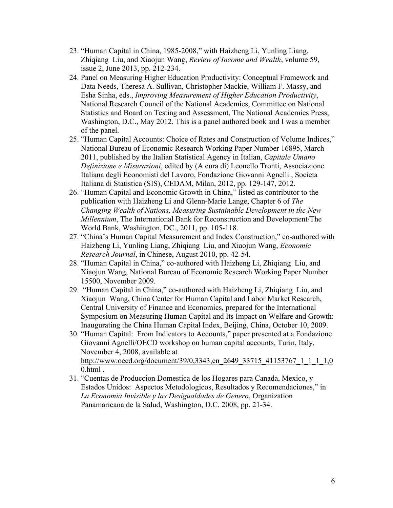- 23. "Human Capital in China, 1985-2008," with Haizheng Li, Yunling Liang, Zhiqiang Liu, and Xiaojun Wang, *Review of Income and Wealth*, volume 59, issue 2, June 2013, pp. 212-234.
- 24. Panel on Measuring Higher Education Productivity: Conceptual Framework and Data Needs, Theresa A. Sullivan, Christopher Mackie, William F. Massy, and Esha Sinha, eds., *Improving Measurement of Higher Education Productivity*, National Research Council of the National Academies, Committee on National Statistics and Board on Testing and Assessment, The National Academies Press, Washington, D.C., May 2012. This is a panel authored book and I was a member of the panel.
- 25. "Human Capital Accounts: Choice of Rates and Construction of Volume Indices," National Bureau of Economic Research Working Paper Number 16895, March 2011, published by the Italian Statistical Agency in Italian, *Capitale Umano Definizione e Misurazioni*, edited by (A cura di) Leonello Tronti, Associazione Italiana degli Economisti del Lavoro, Fondazione Giovanni Agnelli , Societa Italiana di Statistica (SIS), CEDAM, Milan, 2012, pp. 129-147, 2012.
- 26. "Human Capital and Economic Growth in China," listed as contributor to the publication with Haizheng Li and Glenn-Marie Lange, Chapter 6 of *The Changing Wealth of Nations, Measuring Sustainable Development in the New Millennium*, The International Bank for Reconstruction and Development/The World Bank, Washington, DC., 2011, pp. 105-118.
- 27. "China's Human Capital Measurement and Index Construction," co-authored with Haizheng Li, Yunling Liang, Zhiqiang Liu, and Xiaojun Wang, *Economic Research Journal*, in Chinese, August 2010, pp. 42-54.
- 28. "Human Capital in China," co-authored with Haizheng Li, Zhiqiang Liu, and Xiaojun Wang, National Bureau of Economic Research Working Paper Number 15500, November 2009.
- 29. "Human Capital in China," co-authored with Haizheng Li, Zhiqiang Liu, and Xiaojun Wang, China Center for Human Capital and Labor Market Research, Central University of Finance and Economics, prepared for the International Symposium on Measuring Human Capital and Its Impact on Welfare and Growth: Inaugurating the China Human Capital Index, Beijing, China, October 10, 2009.
- 30. "Human Capital: From Indicators to Accounts," paper presented at a Fondazione Giovanni Agnelli/OECD workshop on human capital accounts, Turin, Italy, November 4, 2008, available at http://www.oecd.org/document/39/0,3343,en\_2649\_33715\_41153767\_1\_1\_1\_1,0 0.html .
- 31. "Cuentas de Produccion Domestica de los Hogares para Canada, Mexico, y Estados Unidos: Aspectos Metodologicos, Resultados y Recomendaciones," in *La Economia Invisible y las Desigualdades de Genero*, Organization Panamaricana de la Salud, Washington, D.C. 2008, pp. 21-34.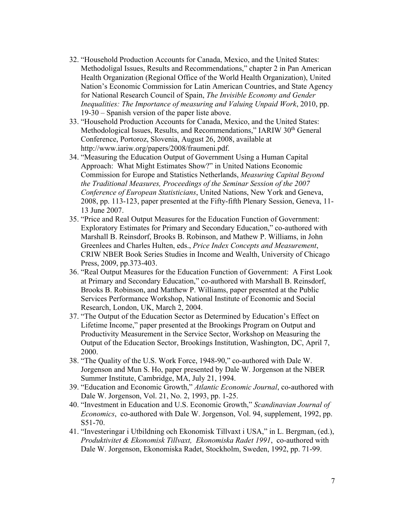- 32. "Household Production Accounts for Canada, Mexico, and the United States: Methodoligal Issues, Results and Recommendations," chapter 2 in Pan American Health Organization (Regional Office of the World Health Organization), United Nation's Economic Commission for Latin American Countries, and State Agency for National Research Council of Spain, *The Invisible Economy and Gender Inequalities: The Importance of measuring and Valuing Unpaid Work*, 2010, pp. 19-30 – Spanish version of the paper liste above.
- 33. "Household Production Accounts for Canada, Mexico, and the United States: Methodological Issues, Results, and Recommendations," IARIW 30<sup>th</sup> General Conference, Portoroz, Slovenia, August 26, 2008, available at http://www.iariw.org/papers/2008/fraumeni.pdf.
- 34. "Measuring the Education Output of Government Using a Human Capital Approach: What Might Estimates Show?" in United Nations Economic Commission for Europe and Statistics Netherlands, *Measuring Capital Beyond the Traditional Measures, Proceedings of the Seminar Session of the 2007 Conference of European Statisticians*, United Nations, New York and Geneva, 2008, pp. 113-123, paper presented at the Fifty-fifth Plenary Session, Geneva, 11- 13 June 2007.
- 35. "Price and Real Output Measures for the Education Function of Government: Exploratory Estimates for Primary and Secondary Education," co-authored with Marshall B. Reinsdorf, Brooks B. Robinson, and Mathew P. Williams, in John Greenlees and Charles Hulten, eds., *Price Index Concepts and Measurement*, CRIW NBER Book Series Studies in Income and Wealth, University of Chicago Press, 2009, pp.373-403.
- 36. "Real Output Measures for the Education Function of Government: A First Look at Primary and Secondary Education," co-authored with Marshall B. Reinsdorf, Brooks B. Robinson, and Matthew P. Williams, paper presented at the Public Services Performance Workshop, National Institute of Economic and Social Research, London, UK, March 2, 2004.
- 37. "The Output of the Education Sector as Determined by Education's Effect on Lifetime Income," paper presented at the Brookings Program on Output and Productivity Measurement in the Service Sector, Workshop on Measuring the Output of the Education Sector, Brookings Institution, Washington, DC, April 7, 2000.
- 38. "The Quality of the U.S. Work Force, 1948-90," co-authored with Dale W. Jorgenson and Mun S. Ho, paper presented by Dale W. Jorgenson at the NBER Summer Institute, Cambridge, MA, July 21, 1994.
- 39. "Education and Economic Growth," *Atlantic Economic Journal*, co-authored with Dale W. Jorgenson, Vol. 21, No. 2, 1993, pp. 1-25.
- 40. "Investment in Education and U.S. Economic Growth," *Scandinavian Journal of Economics*, co-authored with Dale W. Jorgenson, Vol. 94, supplement, 1992, pp. S51-70.
- 41. "Investeringar i Utbildning och Ekonomisk Tillvaxt i USA," in L. Bergman, (ed.), *Produktivitet & Ekonomisk Tillvaxt, Ekonomiska Radet 1991*, co-authored with Dale W. Jorgenson, Ekonomiska Radet, Stockholm, Sweden, 1992, pp. 71-99.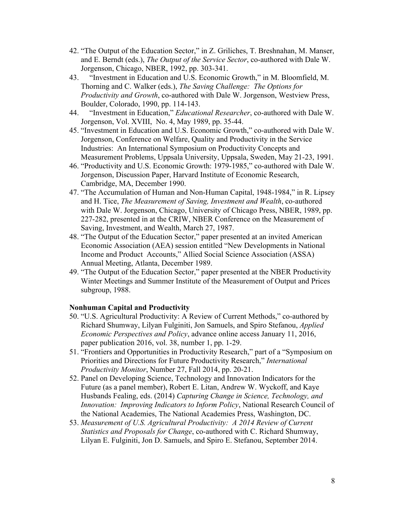- 42. "The Output of the Education Sector," in Z. Griliches, T. Breshnahan, M. Manser, and E. Berndt (eds.), *The Output of the Service Sector*, co-authored with Dale W. Jorgenson, Chicago, NBER, 1992, pp. 303-341.
- 43. "Investment in Education and U.S. Economic Growth," in M. Bloomfield, M. Thorning and C. Walker (eds.), *The Saving Challenge: The Options for Productivity and Growth*, co-authored with Dale W. Jorgenson, Westview Press, Boulder, Colorado, 1990, pp. 114-143.
- 44. "Investment in Education," *Educational Researcher*, co-authored with Dale W. Jorgenson, Vol. XVIII, No. 4, May 1989, pp. 35-44.
- 45. "Investment in Education and U.S. Economic Growth," co-authored with Dale W. Jorgenson, Conference on Welfare, Quality and Productivity in the Service Industries: An International Symposium on Productivity Concepts and Measurement Problems, Uppsala University, Uppsala, Sweden, May 21-23, 1991.
- 46. "Productivity and U.S. Economic Growth: 1979-1985," co-authored with Dale W. Jorgenson, Discussion Paper, Harvard Institute of Economic Research, Cambridge, MA, December 1990.
- 47. "The Accumulation of Human and Non-Human Capital, 1948-1984," in R. Lipsey and H. Tice, *The Measurement of Saving, Investment and Wealth*, co-authored with Dale W. Jorgenson, Chicago, University of Chicago Press, NBER, 1989, pp. 227-282, presented in at the CRIW, NBER Conference on the Measurement of Saving, Investment, and Wealth, March 27, 1987.
- 48. "The Output of the Education Sector," paper presented at an invited American Economic Association (AEA) session entitled "New Developments in National Income and Product Accounts," Allied Social Science Association (ASSA) Annual Meeting, Atlanta, December 1989.
- 49. "The Output of the Education Sector," paper presented at the NBER Productivity Winter Meetings and Summer Institute of the Measurement of Output and Prices subgroup, 1988.

### **Nonhuman Capital and Productivity**

- 50. "U.S. Agricultural Productivity: A Review of Current Methods," co-authored by Richard Shumway, Lilyan Fulginiti, Jon Samuels, and Spiro Stefanou, *Applied Economic Perspectives and Policy*, advance online access January 11, 2016, paper publication 2016, vol. 38, number 1, pp. 1-29.
- 51. "Frontiers and Opportunities in Productivity Research," part of a "Symposium on Priorities and Directions for Future Productivity Research," *International Productivity Monitor*, Number 27, Fall 2014, pp. 20-21.
- 52. Panel on Developing Science, Technology and Innovation Indicators for the Future (as a panel member), Robert E. Litan, Andrew W. Wyckoff, and Kaye Husbands Fealing, eds. (2014) *Capturing Change in Science, Technology, and Innovation: Improving Indicators to Inform Policy*, National Research Council of the National Academies, The National Academies Press, Washington, DC.
- 53. *Measurement of U.S. Agricultural Productivity: A 2014 Review of Current Statistics and Proposals for Change*, co-authored with C. Richard Shumway, Lilyan E. Fulginiti, Jon D. Samuels, and Spiro E. Stefanou, September 2014.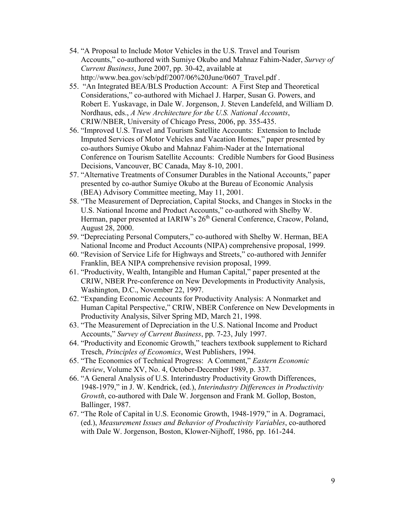- 54. "A Proposal to Include Motor Vehicles in the U.S. Travel and Tourism Accounts," co-authored with Sumiye Okubo and Mahnaz Fahim-Nader, *Survey of Current Business*, June 2007, pp. 30-42, available at http://www.bea.gov/scb/pdf/2007/06%20June/0607 Travel.pdf.
- 55. "An Integrated BEA/BLS Production Account: A First Step and Theoretical Considerations," co-authored with Michael J. Harper, Susan G. Powers, and Robert E. Yuskavage, in Dale W. Jorgenson, J. Steven Landefeld, and William D. Nordhaus, eds., *A New Architecture for the U.S. National Accounts*, CRIW/NBER, University of Chicago Press, 2006, pp. 355-435.
- 56. "Improved U.S. Travel and Tourism Satellite Accounts: Extension to Include Imputed Services of Motor Vehicles and Vacation Homes," paper presented by co-authors Sumiye Okubo and Mahnaz Fahim-Nader at the International Conference on Tourism Satellite Accounts: Credible Numbers for Good Business Decisions, Vancouver, BC Canada, May 8-10, 2001.
- 57. "Alternative Treatments of Consumer Durables in the National Accounts," paper presented by co-author Sumiye Okubo at the Bureau of Economic Analysis (BEA) Advisory Committee meeting, May 11, 2001.
- 58. "The Measurement of Depreciation, Capital Stocks, and Changes in Stocks in the U.S. National Income and Product Accounts," co-authored with Shelby W. Herman, paper presented at IARIW's 26<sup>th</sup> General Conference, Cracow, Poland, August 28, 2000.
- 59. "Depreciating Personal Computers," co-authored with Shelby W. Herman, BEA National Income and Product Accounts (NIPA) comprehensive proposal, 1999.
- 60. "Revision of Service Life for Highways and Streets," co-authored with Jennifer Franklin, BEA NIPA comprehensive revision proposal, 1999.
- 61. "Productivity, Wealth, Intangible and Human Capital," paper presented at the CRIW, NBER Pre-conference on New Developments in Productivity Analysis, Washington, D.C., November 22, 1997.
- 62. "Expanding Economic Accounts for Productivity Analysis: A Nonmarket and Human Capital Perspective," CRIW, NBER Conference on New Developments in Productivity Analysis, Silver Spring MD, March 21, 1998.
- 63. "The Measurement of Depreciation in the U.S. National Income and Product Accounts," *Survey of Current Business*, pp. 7-23, July 1997.
- 64. "Productivity and Economic Growth," teachers textbook supplement to Richard Tresch, *Principles of Economics*, West Publishers, 1994.
- 65. "The Economics of Technical Progress: A Comment," *Eastern Economic Review*, Volume XV, No. 4, October-December 1989, p. 337.
- 66. "A General Analysis of U.S. Interindustry Productivity Growth Differences, 1948-1979," in J. W. Kendrick, (ed.), *Interindustry Differences in Productivity Growth*, co-authored with Dale W. Jorgenson and Frank M. Gollop, Boston, Ballinger, 1987.
- 67. "The Role of Capital in U.S. Economic Growth, 1948-1979," in A. Dogramaci, (ed.), *Measurement Issues and Behavior of Productivity Variables*, co-authored with Dale W. Jorgenson, Boston, Klower-Nijhoff, 1986, pp. 161-244.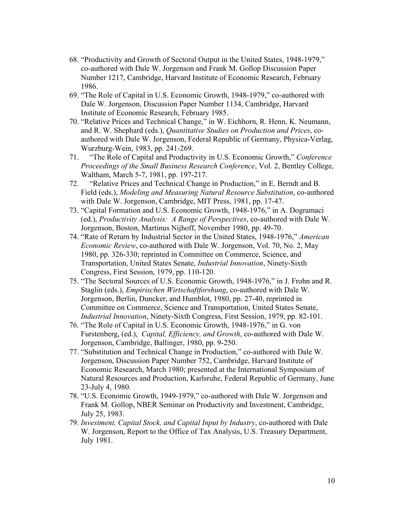- 68. "Productivity and Growth of Sectoral Output in the United States, 1948-1979," co-authored with Dale W. Jorgenson and Frank M. Gollop Discussion Paper Number 1217, Cambridge, Harvard Institute of Economic Research, February 1986.
- 69. "The Role of Capital in U.S. Economic Growth, 1948-1979," co-authored with Dale W. Jorgenson, Discussion Paper Number 1134, Cambridge, Harvard Institute of Economic Research, February 1985.
- 70. "Relative Prices and Technical Change," in W. Eichhorn, R. Henn, K. Neumann, and R. W. Shephard (eds.), *Quantitative Studies on Production and Prices*, coauthored with Dale W. Jorgenson, Federal Republic of Germany, Physica-Verlag, Wurzburg-Wein, 1983, pp. 241-269.
- 71. "The Role of Capital and Productivity in U.S. Economic Growth," *Conference Proceedings of the Small Business Research Conference*, Vol. 2, Bentley College, Waltham, March 5-7, 1981, pp. 197-217.
- 72. "Relative Prices and Technical Change in Production," in E. Berndt and B. Field (eds.), *Modeling and Measuring Natural Resource Substitution*, co-authored with Dale W. Jorgenson, Cambridge, MIT Press, 1981, pp. 17-47.
- 73. "Capital Formation and U.S. Economic Growth, 1948-1976," in A. Dogramaci (ed.), *Productivity Analysis: A Range of Perspectives*, co-authored with Dale W. Jorgenson, Boston, Martinus Nijhoff, November 1980, pp. 49-70.
- 74. "Rate of Return by Industrial Sector in the United States, 1948-1976," *American Economic Review*, co-authored with Dale W. Jorgenson, Vol. 70, No. 2, May 1980, pp. 326-330; reprinted in Committee on Commerce, Science, and Transportation, United States Senate, *Industrial Innovation*, Ninety-Sixth Congress, First Session, 1979, pp. 110-120.
- 75. "The Sectoral Sources of U.S. Economic Growth, 1948-1976," in J. Frohn and R. Staglin (eds.), *Empirischen Wirtschaftforshung*, co-authored with Dale W. Jorgenson, Berlin, Duncker, and Humblot, 1980, pp. 27-40, reprinted in Committee on Commerce, Science and Transportation, United States Senate, *Industrial Innovation*, Ninety-Sixth Congress, First Session, 1979, pp. 82-101.
- 76. "The Role of Capital in U.S. Economic Growth, 1948-1976," in G. von Furstenberg, (ed.), *Capital, Efficiency, and Growth*, co-authored with Dale W. Jorgenson, Cambridge, Ballinger, 1980, pp. 9-250.
- 77. "Substitution and Technical Change in Production," co-authored with Dale W. Jorgenson, Discussion Paper Number 752, Cambridge, Harvard Institute of Economic Research, March 1980; presented at the International Symposium of Natural Resources and Production, Karlsruhe, Federal Republic of Germany, June 23-July 4, 1980.
- 78. "U.S. Economic Growth, 1949-1979," co-authored with Dale W. Jorgenson and Frank M. Gollop, NBER Seminar on Productivity and Investment, Cambridge, July 25, 1983.
- 79. *Investment, Capital Stock, and Capital Input by Industry*, co-authored with Dale W. Jorgenson, Report to the Office of Tax Analysis, U.S. Treasury Department, July 1981.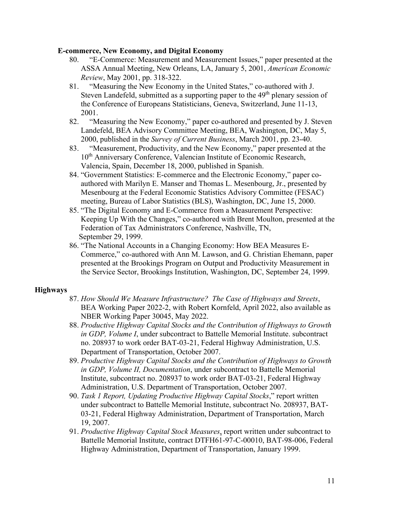#### **E-commerce, New Economy, and Digital Economy**

- 80. "E-Commerce: Measurement and Measurement Issues," paper presented at the ASSA Annual Meeting, New Orleans, LA, January 5, 2001, *American Economic Review*, May 2001, pp. 318-322.
- 81. "Measuring the New Economy in the United States," co-authored with J. Steven Landefeld, submitted as a supporting paper to the  $49<sup>th</sup>$  plenary session of the Conference of Europeans Statisticians, Geneva, Switzerland, June 11-13, 2001.
- 82. "Measuring the New Economy," paper co-authored and presented by J. Steven Landefeld, BEA Advisory Committee Meeting, BEA, Washington, DC, May 5, 2000, published in the *Survey of Current Business*, March 2001, pp. 23-40.
- 83. "Measurement, Productivity, and the New Economy," paper presented at the 10<sup>th</sup> Anniversary Conference, Valencian Institute of Economic Research, Valencia, Spain, December 18, 2000, published in Spanish.
- 84. "Government Statistics: E-commerce and the Electronic Economy," paper coauthored with Marilyn E. Manser and Thomas L. Mesenbourg, Jr., presented by Mesenbourg at the Federal Economic Statistics Advisory Committee (FESAC) meeting, Bureau of Labor Statistics (BLS), Washington, DC, June 15, 2000.
- 85. "The Digital Economy and E-Commerce from a Measurement Perspective: Keeping Up With the Changes," co-authored with Brent Moulton, presented at the Federation of Tax Administrators Conference, Nashville, TN, September 29, 1999.
- 86. "The National Accounts in a Changing Economy: How BEA Measures E-Commerce," co-authored with Ann M. Lawson, and G. Christian Ehemann, paper presented at the Brookings Program on Output and Productivity Measurement in the Service Sector, Brookings Institution, Washington, DC, September 24, 1999.

### **Highways**

- 87. *How Should We Measure Infrastructure? The Case of Highways and Streets*, BEA Working Paper 2022-2, with Robert Kornfeld, April 2022, also available as NBER Working Paper 30045, May 2022.
- 88. *Productive Highway Capital Stocks and the Contribution of Highways to Growth in GDP, Volume I*, under subcontract to Battelle Memorial Institute. subcontract no. 208937 to work order BAT-03-21, Federal Highway Administration, U.S. Department of Transportation, October 2007.
- 89. *Productive Highway Capital Stocks and the Contribution of Highways to Growth in GDP, Volume II, Documentation*, under subcontract to Battelle Memorial Institute, subcontract no. 208937 to work order BAT-03-21, Federal Highway Administration, U.S. Department of Transportation, October 2007.
- 90. *Task 1 Report, Updating Productive Highway Capital Stocks*," report written under subcontract to Battelle Memorial Institute, subcontract No. 208937, BAT-03-21, Federal Highway Administration, Department of Transportation, March 19, 2007.
- 91. *Productive Highway Capital Stock Measures*, report written under subcontract to Battelle Memorial Institute, contract DTFH61-97-C-00010, BAT-98-006, Federal Highway Administration, Department of Transportation, January 1999.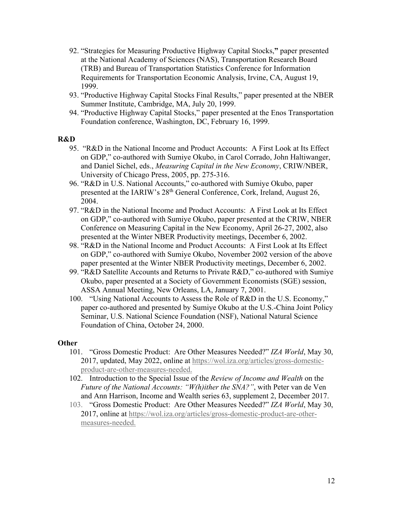- 92. "Strategies for Measuring Productive Highway Capital Stocks,**"** paper presented at the National Academy of Sciences (NAS), Transportation Research Board (TRB) and Bureau of Transportation Statistics Conference for Information Requirements for Transportation Economic Analysis, Irvine, CA, August 19, 1999.
- 93. "Productive Highway Capital Stocks Final Results," paper presented at the NBER Summer Institute, Cambridge, MA, July 20, 1999.
- 94. "Productive Highway Capital Stocks," paper presented at the Enos Transportation Foundation conference, Washington, DC, February 16, 1999.

### **R&D**

- 95. "R&D in the National Income and Product Accounts: A First Look at Its Effect on GDP," co-authored with Sumiye Okubo, in Carol Corrado, John Haltiwanger, and Daniel Sichel, eds., *Measuring Capital in the New Economy*, CRIW/NBER, University of Chicago Press, 2005, pp. 275-316.
- 96. "R&D in U.S. National Accounts," co-authored with Sumiye Okubo, paper presented at the IARIW's 28<sup>th</sup> General Conference, Cork, Ireland, August 26, 2004.
- 97. "R&D in the National Income and Product Accounts: A First Look at Its Effect on GDP," co-authored with Sumiye Okubo, paper presented at the CRIW, NBER Conference on Measuring Capital in the New Economy, April 26-27, 2002, also presented at the Winter NBER Productivity meetings, December 6, 2002.
- 98. "R&D in the National Income and Product Accounts: A First Look at Its Effect on GDP," co-authored with Sumiye Okubo, November 2002 version of the above paper presented at the Winter NBER Productivity meetings, December 6, 2002.
- 99. "R&D Satellite Accounts and Returns to Private R&D," co-authored with Sumiye Okubo, paper presented at a Society of Government Economists (SGE) session, ASSA Annual Meeting, New Orleans, LA, January 7, 2001.
- 100. "Using National Accounts to Assess the Role of R&D in the U.S. Economy," paper co-authored and presented by Sumiye Okubo at the U.S.-China Joint Policy Seminar, U.S. National Science Foundation (NSF), National Natural Science Foundation of China, October 24, 2000.

### **Other**

- 101. "Gross Domestic Product: Are Other Measures Needed?" *IZA World*, May 30, 2017, updated, May 2022, online at https://wol.iza.org/articles/gross-domesticproduct-are-other-measures-needed.
- 102. Introduction to the Special Issue of the *Review of Income and Wealth* on the *Future of the National Accounts: "W(h)ither the SNA?"*, with Peter van de Ven and Ann Harrison, Income and Wealth series 63, supplement 2, December 2017.
- 103. "Gross Domestic Product: Are Other Measures Needed?" *IZA World*, May 30, 2017, online at https://wol.iza.org/articles/gross-domestic-product-are-othermeasures-needed.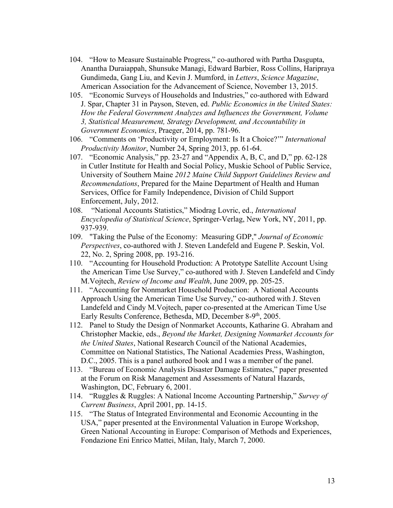- 104. "How to Measure Sustainable Progress," co-authored with Partha Dasgupta, Anantha Duraiappah, Shunsuke Managi, Edward Barbier, Ross Collins, Haripraya Gundimeda, Gang Liu, and Kevin J. Mumford, in *Letters*, *Science Magazine*, American Association for the Advancement of Science, November 13, 2015.
- 105. "Economic Surveys of Households and Industries," co-authored with Edward J. Spar, Chapter 31 in Payson, Steven, ed. *Public Economics in the United States: How the Federal Government Analyzes and Influences the Government, Volume 3, Statistical Measurement, Strategy Development, and Accountability in Government Economics*, Praeger, 2014, pp. 781-96.
- 106. "Comments on 'Productivity or Employment: Is It a Choice?'" *International Productivity Monitor*, Number 24, Spring 2013, pp. 61-64.
- 107. "Economic Analysis," pp. 23-27 and "Appendix A, B, C, and D," pp. 62-128 in Cutler Institute for Health and Social Policy, Muskie School of Public Service, University of Southern Maine *2012 Maine Child Support Guidelines Review and Recommendations*, Prepared for the Maine Department of Health and Human Services, Office for Family Independence, Division of Child Support Enforcement, July, 2012.
- 108. "National Accounts Statistics," Miodrag Lovric, ed., *International Encyclopedia of Statistical Science*, Springer-Verlag, New York, NY, 2011, pp. 937-939.
- 109. "Taking the Pulse of the Economy: Measuring GDP," *Journal of Economic Perspectives*, co-authored with J. Steven Landefeld and Eugene P. Seskin, Vol. 22, No. 2, Spring 2008, pp. 193-216.
- 110. "Accounting for Household Production: A Prototype Satellite Account Using the American Time Use Survey," co-authored with J. Steven Landefeld and Cindy M.Vojtech, *Review of Income and Wealth*, June 2009, pp. 205-25.
- 111. "Accounting for Nonmarket Household Production: A National Accounts Approach Using the American Time Use Survey," co-authored with J. Steven Landefeld and Cindy M.Vojtech, paper co-presented at the American Time Use Early Results Conference, Bethesda, MD, December 8-9<sup>th</sup>, 2005.
- 112. Panel to Study the Design of Nonmarket Accounts, Katharine G. Abraham and Christopher Mackie, eds., *Beyond the Market, Designing Nonmarket Accounts for the United States*, National Research Council of the National Academies, Committee on National Statistics, The National Academies Press, Washington, D.C., 2005. This is a panel authored book and I was a member of the panel.
- 113. "Bureau of Economic Analysis Disaster Damage Estimates," paper presented at the Forum on Risk Management and Assessments of Natural Hazards, Washington, DC, February 6, 2001.
- 114. "Ruggles & Ruggles: A National Income Accounting Partnership," *Survey of Current Business*, April 2001, pp. 14-15.
- 115. "The Status of Integrated Environmental and Economic Accounting in the USA," paper presented at the Environmental Valuation in Europe Workshop, Green National Accounting in Europe: Comparison of Methods and Experiences, Fondazione Eni Enrico Mattei, Milan, Italy, March 7, 2000.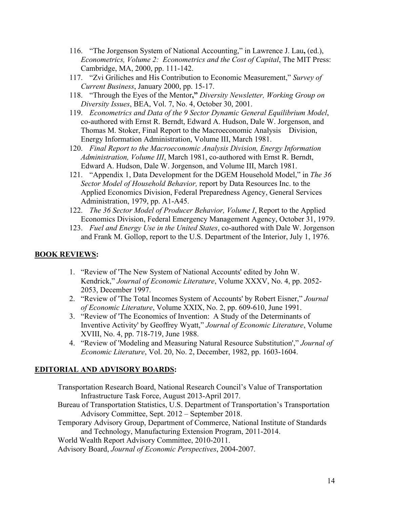- 116. "The Jorgenson System of National Accounting," in Lawrence J. Lau**,** (ed.), *Econometrics, Volume 2: Econometrics and the Cost of Capital*, The MIT Press: Cambridge, MA, 2000, pp. 111-142.
- 117. "Zvi Griliches and His Contribution to Economic Measurement," *Survey of Current Business*, January 2000, pp. 15-17.
- 118. "Through the Eyes of the Mentor**,"** *Diversity Newsletter, Working Group on Diversity Issues*, BEA, Vol. 7, No. 4, October 30, 2001.
- 119. *Econometrics and Data of the 9 Sector Dynamic General Equilibrium Model*, co-authored with Ernst R. Berndt, Edward A. Hudson, Dale W. Jorgenson, and Thomas M. Stoker, Final Report to the Macroeconomic Analysis Division, Energy Information Administration, Volume III, March 1981.
- 120. *Final Report to the Macroeconomic Analysis Division, Energy Information Administration, Volume III*, March 1981, co-authored with Ernst R. Berndt, Edward A. Hudson, Dale W. Jorgenson, and Volume III, March 1981.
- 121. "Appendix 1, Data Development for the DGEM Household Model," in *The 36 Sector Model of Household Behavior,* report by Data Resources Inc. to the Applied Economics Division, Federal Preparedness Agency, General Services Administration, 1979, pp. A1-A45.
- 122. *The 36 Sector Model of Producer Behavior, Volume I*, Report to the Applied Economics Division, Federal Emergency Management Agency, October 31, 1979.
- 123. *Fuel and Energy Use in the United States*, co-authored with Dale W. Jorgenson and Frank M. Gollop, report to the U.S. Department of the Interior, July 1, 1976.

# **BOOK REVIEWS:**

- 1. "Review of 'The New System of National Accounts' edited by John W. Kendrick," *Journal of Economic Literature*, Volume XXXV, No. 4, pp. 2052- 2053, December 1997.
- 2. "Review of 'The Total Incomes System of Accounts' by Robert Eisner," *Journal of Economic Literature*, Volume XXIX, No. 2, pp. 609-610, June 1991.
- 3. "Review of 'The Economics of Invention: A Study of the Determinants of Inventive Activity' by Geoffrey Wyatt," *Journal of Economic Literature*, Volume XVIII, No. 4, pp. 718-719, June 1988.
- 4. "Review of 'Modeling and Measuring Natural Resource Substitution'," *Journal of Economic Literature*, Vol. 20, No. 2, December, 1982, pp. 1603-1604.

### **EDITORIAL AND ADVISORY BOARDS:**

Transportation Research Board, National Research Council's Value of Transportation Infrastructure Task Force, August 2013-April 2017.

Bureau of Transportation Statistics, U.S. Department of Transportation's Transportation Advisory Committee, Sept. 2012 – September 2018.

Temporary Advisory Group, Department of Commerce, National Institute of Standards and Technology, Manufacturing Extension Program, 2011-2014.

World Wealth Report Advisory Committee, 2010-2011.

Advisory Board, *Journal of Economic Perspectives*, 2004-2007.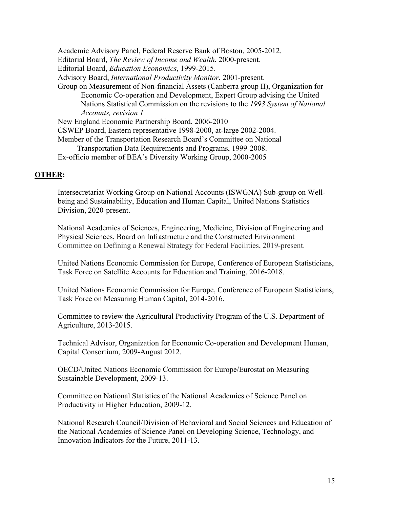Academic Advisory Panel, Federal Reserve Bank of Boston, 2005-2012. Editorial Board, *The Review of Income and Wealth*, 2000-present. Editorial Board, *Education Economics*, 1999-2015. Advisory Board, *International Productivity Monitor*, 2001-present. Group on Measurement of Non-financial Assets (Canberra group II), Organization for Economic Co-operation and Development, Expert Group advising the United Nations Statistical Commission on the revisions to the *1993 System of National Accounts, revision 1* New England Economic Partnership Board, 2006-2010 CSWEP Board, Eastern representative 1998-2000, at-large 2002-2004. Member of the Transportation Research Board's Committee on National Transportation Data Requirements and Programs, 1999-2008. Ex-officio member of BEA's Diversity Working Group, 2000-2005

#### **OTHER:**

Intersecretariat Working Group on National Accounts (ISWGNA) Sub-group on Wellbeing and Sustainability, Education and Human Capital, United Nations Statistics Division, 2020-present.

National Academies of Sciences, Engineering, Medicine, Division of Engineering and Physical Sciences, Board on Infrastructure and the Constructed Environment Committee on Defining a Renewal Strategy for Federal Facilities, 2019-present.

United Nations Economic Commission for Europe, Conference of European Statisticians, Task Force on Satellite Accounts for Education and Training, 2016-2018.

United Nations Economic Commission for Europe, Conference of European Statisticians, Task Force on Measuring Human Capital, 2014-2016.

Committee to review the Agricultural Productivity Program of the U.S. Department of Agriculture, 2013-2015.

Technical Advisor, Organization for Economic Co-operation and Development Human, Capital Consortium, 2009-August 2012.

OECD/United Nations Economic Commission for Europe/Eurostat on Measuring Sustainable Development, 2009-13.

Committee on National Statistics of the National Academies of Science Panel on Productivity in Higher Education, 2009-12.

National Research Council/Division of Behavioral and Social Sciences and Education of the National Academies of Science Panel on Developing Science, Technology, and Innovation Indicators for the Future, 2011-13.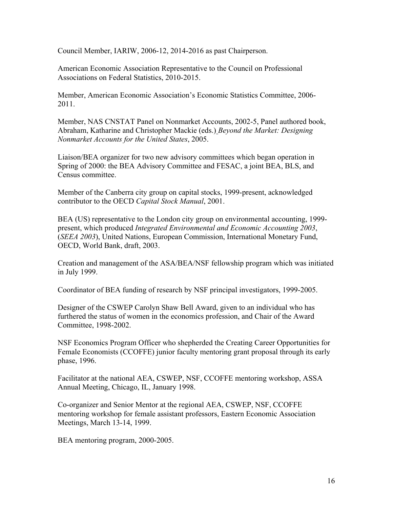Council Member, IARIW, 2006-12, 2014-2016 as past Chairperson.

American Economic Association Representative to the Council on Professional Associations on Federal Statistics, 2010-2015.

Member, American Economic Association's Economic Statistics Committee, 2006- 2011.

Member, NAS CNSTAT Panel on Nonmarket Accounts, 2002-5, Panel authored book, Abraham, Katharine and Christopher Mackie (eds.) *Beyond the Market: Designing Nonmarket Accounts for the United States*, 2005.

Liaison/BEA organizer for two new advisory committees which began operation in Spring of 2000: the BEA Advisory Committee and FESAC, a joint BEA, BLS, and Census committee.

Member of the Canberra city group on capital stocks, 1999-present, acknowledged contributor to the OECD *Capital Stock Manual*, 2001.

BEA (US) representative to the London city group on environmental accounting, 1999 present, which produced *Integrated Environmental and Economic Accounting 2003*, (*SEEA 2003*), United Nations, European Commission, International Monetary Fund, OECD, World Bank, draft, 2003.

Creation and management of the ASA/BEA/NSF fellowship program which was initiated in July 1999.

Coordinator of BEA funding of research by NSF principal investigators, 1999-2005.

Designer of the CSWEP Carolyn Shaw Bell Award, given to an individual who has furthered the status of women in the economics profession, and Chair of the Award Committee, 1998-2002.

NSF Economics Program Officer who shepherded the Creating Career Opportunities for Female Economists (CCOFFE) junior faculty mentoring grant proposal through its early phase, 1996.

Facilitator at the national AEA, CSWEP, NSF, CCOFFE mentoring workshop, ASSA Annual Meeting, Chicago, IL, January 1998.

Co-organizer and Senior Mentor at the regional AEA, CSWEP, NSF, CCOFFE mentoring workshop for female assistant professors, Eastern Economic Association Meetings, March 13-14, 1999.

BEA mentoring program, 2000-2005.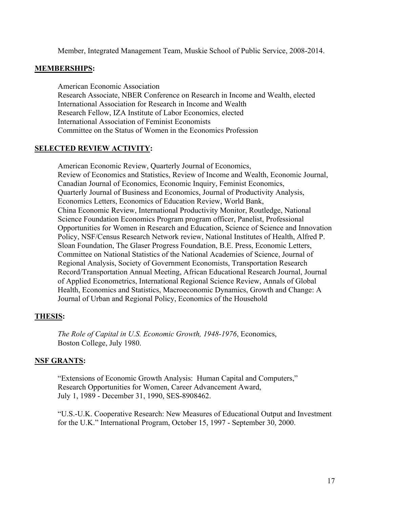Member, Integrated Management Team, Muskie School of Public Service, 2008-2014.

#### **MEMBERSHIPS:**

American Economic Association Research Associate, NBER Conference on Research in Income and Wealth, elected International Association for Research in Income and Wealth Research Fellow, IZA Institute of Labor Economics, elected International Association of Feminist Economists Committee on the Status of Women in the Economics Profession

### **SELECTED REVIEW ACTIVITY:**

American Economic Review, Quarterly Journal of Economics, Review of Economics and Statistics, Review of Income and Wealth, Economic Journal, Canadian Journal of Economics, Economic Inquiry, Feminist Economics, Quarterly Journal of Business and Economics, Journal of Productivity Analysis, Economics Letters, Economics of Education Review, World Bank, China Economic Review, International Productivity Monitor, Routledge, National Science Foundation Economics Program program officer, Panelist, Professional Opportunities for Women in Research and Education, Science of Science and Innovation Policy, NSF/Census Research Network review, National Institutes of Health, Alfred P. Sloan Foundation, The Glaser Progress Foundation, B.E. Press, Economic Letters, Committee on National Statistics of the National Academies of Science, Journal of Regional Analysis, Society of Government Economists, Transportation Research Record/Transportation Annual Meeting, African Educational Research Journal, Journal of Applied Econometrics, International Regional Science Review, Annals of Global Health, Economics and Statistics, Macroeconomic Dynamics, Growth and Change: A Journal of Urban and Regional Policy, Economics of the Household

### **THESIS:**

*The Role of Capital in U.S. Economic Growth, 1948-1976*, Economics, Boston College, July 1980.

### **NSF GRANTS:**

"Extensions of Economic Growth Analysis: Human Capital and Computers," Research Opportunities for Women, Career Advancement Award, July 1, 1989 - December 31, 1990, SES-8908462.

"U.S.-U.K. Cooperative Research: New Measures of Educational Output and Investment for the U.K." International Program, October 15, 1997 - September 30, 2000.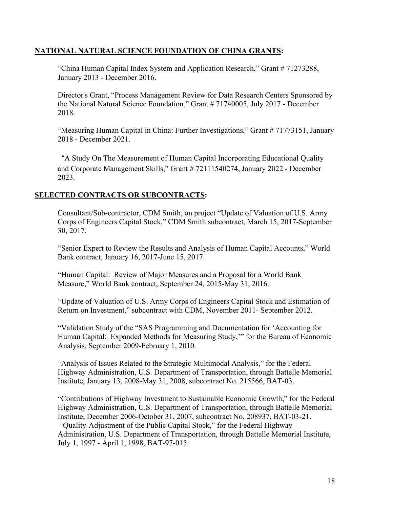# **NATIONAL NATURAL SCIENCE FOUNDATION OF CHINA GRANTS:**

"China Human Capital Index System and Application Research," Grant # 71273288, January 2013 - December 2016.

Director's Grant, "Process Management Review for Data Research Centers Sponsored by the National Natural Science Foundation," Grant # 71740005, July 2017 - December 2018.

"Measuring Human Capital in China: Further Investigations," Grant # 71773151, January 2018 - December 2021.

"A Study On The Measurement of Human Capital Incorporating Educational Quality and Corporate Management Skills," Grant # 72111540274, January 2022 - December 2023.

### **SELECTED CONTRACTS OR SUBCONTRACTS:**

 Consultant/Sub-contractor, CDM Smith, on project "Update of Valuation of U.S. Army Corps of Engineers Capital Stock," CDM Smith subcontract, March 15, 2017-September 30, 2017.

 "Senior Expert to Review the Results and Analysis of Human Capital Accounts," World Bank contract, January 16, 2017-June 15, 2017.

"Human Capital: Review of Major Measures and a Proposal for a World Bank Measure," World Bank contract, September 24, 2015-May 31, 2016.

"Update of Valuation of U.S. Army Corps of Engineers Capital Stock and Estimation of Return on Investment," subcontract with CDM, November 2011- September 2012.

"Validation Study of the "SAS Programming and Documentation for 'Accounting for Human Capital: Expanded Methods for Measuring Study,'" for the Bureau of Economic Analysis, September 2009-February 1, 2010.

"Analysis of Issues Related to the Strategic Multimodal Analysis," for the Federal Highway Administration, U.S. Department of Transportation, through Battelle Memorial Institute, January 13, 2008-May 31, 2008, subcontract No. 215566, BAT-03.

"Contributions of Highway Investment to Sustainable Economic Growth," for the Federal Highway Administration, U.S. Department of Transportation, through Battelle Memorial Institute, December 2006-October 31, 2007, subcontract No. 208937, BAT-03-21. "Quality-Adjustment of the Public Capital Stock," for the Federal Highway Administration, U.S. Department of Transportation, through Battelle Memorial Institute, July 1, 1997 - April 1, 1998, BAT-97-015.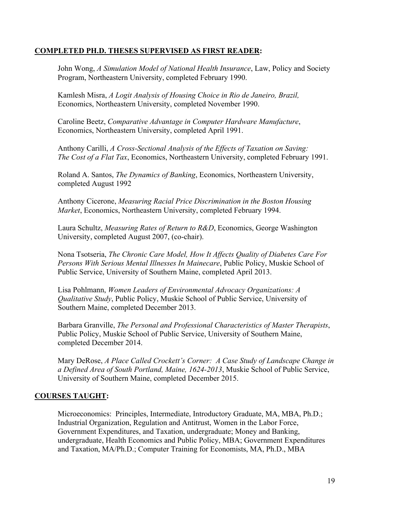# **COMPLETED PH.D. THESES SUPERVISED AS FIRST READER:**

John Wong, *A Simulation Model of National Health Insurance*, Law, Policy and Society Program, Northeastern University, completed February 1990.

Kamlesh Misra, *A Logit Analysis of Housing Choice in Rio de Janeiro, Brazil,* Economics, Northeastern University, completed November 1990.

Caroline Beetz, *Comparative Advantage in Computer Hardware Manufacture*, Economics, Northeastern University, completed April 1991.

Anthony Carilli, *A Cross-Sectional Analysis of the Effects of Taxation on Saving: The Cost of a Flat Tax*, Economics, Northeastern University, completed February 1991.

Roland A. Santos, *The Dynamics of Banking*, Economics, Northeastern University, completed August 1992

Anthony Cicerone, *Measuring Racial Price Discrimination in the Boston Housing Market*, Economics, Northeastern University, completed February 1994.

Laura Schultz, *Measuring Rates of Return to R&D*, Economics, George Washington University, completed August 2007, (co-chair).

Nona Tsotseria, *The Chronic Care Model, How It Affects Quality of Diabetes Care For Persons With Serious Mental Illnesses In Mainecare*, Public Policy, Muskie School of Public Service, University of Southern Maine, completed April 2013.

Lisa Pohlmann, *Women Leaders of Environmental Advocacy Organizations: A Qualitative Study*, Public Policy, Muskie School of Public Service, University of Southern Maine, completed December 2013.

Barbara Granville, *The Personal and Professional Characteristics of Master Therapists*, Public Policy, Muskie School of Public Service, University of Southern Maine, completed December 2014.

Mary DeRose, *A Place Called Crockett's Corner: A Case Study of Landscape Change in a Defined Area of South Portland, Maine, 1624-2013*, Muskie School of Public Service, University of Southern Maine, completed December 2015.

# **COURSES TAUGHT:**

Microeconomics: Principles, Intermediate, Introductory Graduate, MA, MBA, Ph.D.; Industrial Organization, Regulation and Antitrust, Women in the Labor Force, Government Expenditures, and Taxation, undergraduate; Money and Banking, undergraduate, Health Economics and Public Policy, MBA; Government Expenditures and Taxation, MA/Ph.D.; Computer Training for Economists, MA, Ph.D., MBA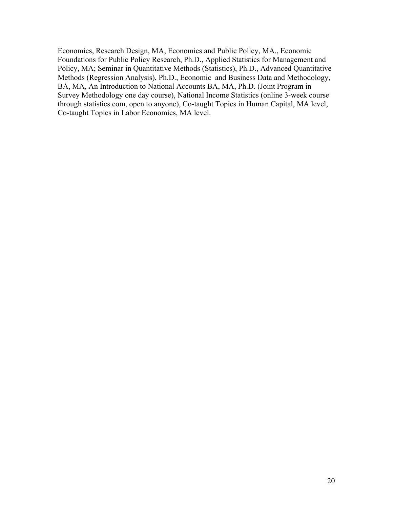Economics, Research Design, MA, Economics and Public Policy, MA., Economic Foundations for Public Policy Research, Ph.D., Applied Statistics for Management and Policy, MA; Seminar in Quantitative Methods (Statistics), Ph.D., Advanced Quantitative Methods (Regression Analysis), Ph.D., Economic and Business Data and Methodology, BA, MA, An Introduction to National Accounts BA, MA, Ph.D. (Joint Program in Survey Methodology one day course), National Income Statistics (online 3-week course through statistics.com, open to anyone), Co-taught Topics in Human Capital, MA level, Co-taught Topics in Labor Economics, MA level.